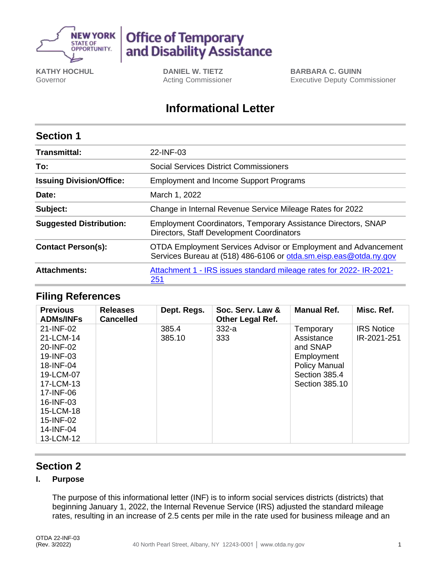

# **Office of Temporary<br>and Disability Assistance**

**KATHY HOCHUL** Governor

**DANIEL W. TIETZ** Acting Commissioner **BARBARA C. GUINN** Executive Deputy Commissioner

# **Informational Letter**

## **Section 1**

| <b>Transmittal:</b>             | 22-INF-03                                                                                                                           |  |  |  |
|---------------------------------|-------------------------------------------------------------------------------------------------------------------------------------|--|--|--|
| To:                             | <b>Social Services District Commissioners</b>                                                                                       |  |  |  |
| <b>Issuing Division/Office:</b> | <b>Employment and Income Support Programs</b>                                                                                       |  |  |  |
| Date:                           | March 1, 2022                                                                                                                       |  |  |  |
| Subject:                        | Change in Internal Revenue Service Mileage Rates for 2022                                                                           |  |  |  |
| <b>Suggested Distribution:</b>  | <b>Employment Coordinators, Temporary Assistance Directors, SNAP</b><br>Directors, Staff Development Coordinators                   |  |  |  |
| <b>Contact Person(s):</b>       | OTDA Employment Services Advisor or Employment and Advancement<br>Services Bureau at (518) 486-6106 or otda.sm.eisp.eas@otda.ny.gov |  |  |  |
| <b>Attachments:</b>             | Attachment 1 - IRS issues standard mileage rates for 2022- IR-2021-<br><u>251</u>                                                   |  |  |  |

### **Filing References**

| <b>Previous</b><br><b>ADMs/INFs</b> | <b>Releases</b><br><b>Cancelled</b> | Dept. Regs. | Soc. Serv. Law &<br><b>Other Legal Ref.</b> | <b>Manual Ref.</b>   | Misc. Ref.        |
|-------------------------------------|-------------------------------------|-------------|---------------------------------------------|----------------------|-------------------|
| 21-INF-02                           |                                     | 385.4       | $332-a$                                     | Temporary            | <b>IRS Notice</b> |
| 21-LCM-14                           |                                     | 385.10      | 333                                         | Assistance           | IR-2021-251       |
| 20-INF-02                           |                                     |             |                                             | and SNAP             |                   |
| 19-INF-03                           |                                     |             |                                             | Employment           |                   |
| 18-INF-04                           |                                     |             |                                             | <b>Policy Manual</b> |                   |
| 19-LCM-07                           |                                     |             |                                             | Section 385.4        |                   |
| 17-LCM-13                           |                                     |             |                                             | Section 385.10       |                   |
| 17-INF-06                           |                                     |             |                                             |                      |                   |
| 16-INF-03                           |                                     |             |                                             |                      |                   |
| 15-LCM-18                           |                                     |             |                                             |                      |                   |
| 15-INF-02                           |                                     |             |                                             |                      |                   |
| 14-INF-04                           |                                     |             |                                             |                      |                   |
| 13-LCM-12                           |                                     |             |                                             |                      |                   |

## **Section 2**

#### **I. Purpose**

The purpose of this informational letter (INF) is to inform social services districts (districts) that beginning January 1, 2022, the Internal Revenue Service (IRS) adjusted the standard mileage rates, resulting in an increase of 2.5 cents per mile in the rate used for business mileage and an